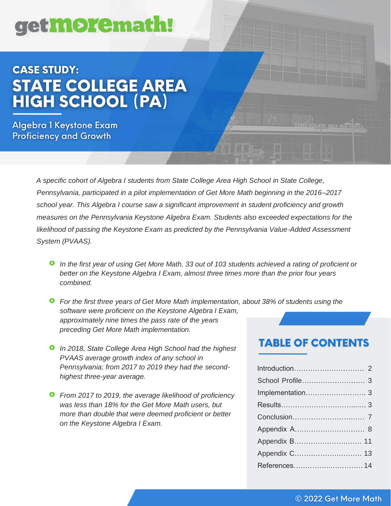# get**more**math!

## **CASE STUDY: STATE COLLEGE AREA HIGH SCHOOL (PA)**

Algebra 1 Keystone Exam **Proficiency and Growth** 

> *A specific cohort of Algebra I students from State College Area High School in State College, Pennsylvania, participated in a pilot implementation of Get More Math beginning in the 2016*–*2017 school year. This Algebra I course saw a significant improvement in student proficiency and growth measures on the Pennsylvania Keystone Algebra Exam. Students also exceeded expectations for the likelihood of passing the Keystone Exam as predicted by the Pennsylvania Value-Added Assessment System (PVAAS).*

- *In the first year of using Get More Math, 33 out of 103 students achieved a rating of proficient or better on the Keystone Algebra I Exam, almost three times more than the prior four years combined.*
- **P** For the first three years of Get More Math implementation, about 38% of students using the *software were proficient on the Keystone Algebra I Exam, approximately nine times the pass rate of the years preceding Get More Math implementation.*
- *In 2018, State College Area High School had the highest PVAAS average growth index of any school in Pennsylvania; from 2017 to 2019 they had the secondhighest three-year average.*
- *From 2017 to 2019, the average likelihood of proficiency was less than 18% for the Get More Math users, but more than double that were deemed proficient or better on the Keystone Algebra I Exam.*

## **TABLE OF CONTENTS**

TATE COLLEGE AREA HI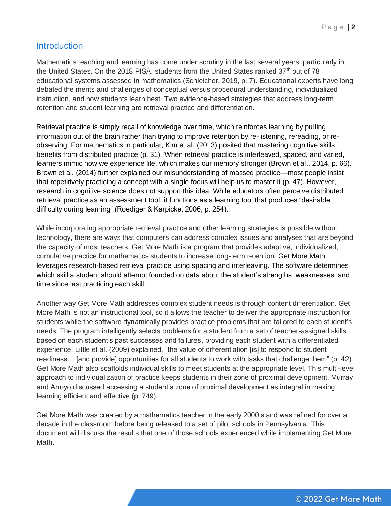## **Introduction**

Mathematics teaching and learning has come under scrutiny in the last several years, particularly in the United States. On the 2018 PISA, students from the United States ranked  $37<sup>th</sup>$  out of 78 educational systems assessed in mathematics (Schleicher, 2019, p. 7). Educational experts have long debated the merits and challenges of conceptual versus procedural understanding, individualized instruction, and how students learn best. Two evidence-based strategies that address long-term retention and student learning are retrieval practice and differentiation.

Retrieval practice is simply recall of knowledge over time, which reinforces learning by pulling information out of the brain rather than trying to improve retention by re-listening, rereading, or reobserving. For mathematics in particular, Kim et al. (2013) posited that mastering cognitive skills benefits from distributed practice (p. 31). When retrieval practice is interleaved, spaced, and varied, learners mimic how we experience life, which makes our memory stronger (Brown et al., 2014, p. 66). Brown et al. (2014) further explained our misunderstanding of massed practice—most people insist that repetitively practicing a concept with a single focus will help us to master it (p. 47). However, research in cognitive science does not support this idea. While educators often perceive distributed retrieval practice as an assessment tool, it functions as a learning tool that produces "desirable difficulty during learning" (Roediger & Karpicke, 2006, p. 254).

While incorporating appropriate retrieval practice and other learning strategies is possible without technology, there are ways that computers can address complex issues and analyses that are beyond the capacity of most teachers. Get More Math is a program that provides adaptive, individualized, cumulative practice for mathematics students to increase long-term retention. Get More Math leverages research-based retrieval practice using spacing and interleaving. The software determines which skill a student should attempt founded on data about the student's strengths, weaknesses, and time since last practicing each skill.

Another way Get More Math addresses complex student needs is through content differentiation. Get More Math is not an instructional tool, so it allows the teacher to deliver the appropriate instruction for students while the software dynamically provides practice problems that are tailored to each student's needs. The program intelligently selects problems for a student from a set of teacher-assigned skills based on each student's past successes and failures, providing each student with a differentiated experience. Little et al. (2009) explained, "the value of differentiation [is] to respond to student readiness… [and provide] opportunities for all students to work with tasks that challenge them" (p. 42). Get More Math also scaffolds individual skills to meet students at the appropriate level. This multi-level approach to individualization of practice keeps students in their zone of proximal development. Murray and Arroyo discussed accessing a student's zone of proximal development as integral in making learning efficient and effective (p. 749).

Get More Math was created by a mathematics teacher in the early 2000's and was refined for over a decade in the classroom before being released to a set of pilot schools in Pennsylvania. This document will discuss the results that one of those schools experienced while implementing Get More Math.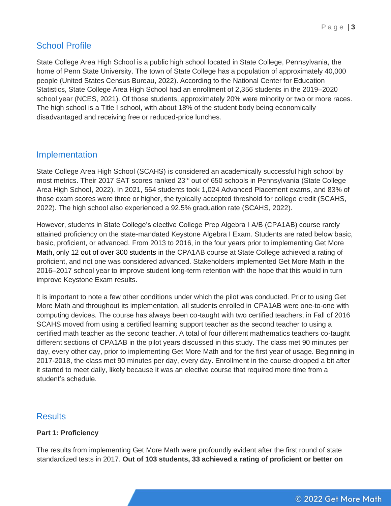## School Profile

State College Area High School is a public high school located in State College, Pennsylvania, the home of Penn State University. The town of State College has a population of approximately 40,000 people (United States Census Bureau, 2022). According to the National Center for Education Statistics, State College Area High School had an enrollment of 2,356 students in the 2019–2020 school year (NCES, 2021). Of those students, approximately 20% were minority or two or more races. The high school is a Title I school, with about 18% of the student body being economically disadvantaged and receiving free or reduced-price lunches.

## Implementation

State College Area High School (SCAHS) is considered an academically successful high school by most metrics. Their 2017 SAT scores ranked 23<sup>rd</sup> out of 650 schools in Pennsylvania (State College Area High School, 2022). In 2021, 564 students took 1,024 Advanced Placement exams, and 83% of those exam scores were three or higher, the typically accepted threshold for college credit (SCAHS, 2022). The high school also experienced a 92.5% graduation rate (SCAHS, 2022).

However, students in State College's elective College Prep Algebra I A/B (CPA1AB) course rarely attained proficiency on the state-mandated Keystone Algebra I Exam. Students are rated below basic, basic, proficient, or advanced. From 2013 to 2016, in the four years prior to implementing Get More Math, only 12 out of over 300 students in the CPA1AB course at State College achieved a rating of proficient, and not one was considered advanced. Stakeholders implemented Get More Math in the 2016–2017 school year to improve student long-term retention with the hope that this would in turn improve Keystone Exam results.

It is important to note a few other conditions under which the pilot was conducted. Prior to using Get More Math and throughout its implementation, all students enrolled in CPA1AB were one-to-one with computing devices. The course has always been co-taught with two certified teachers; in Fall of 2016 SCAHS moved from using a certified learning support teacher as the second teacher to using a certified math teacher as the second teacher. A total of four different mathematics teachers co-taught different sections of CPA1AB in the pilot years discussed in this study. The class met 90 minutes per day, every other day, prior to implementing Get More Math and for the first year of usage. Beginning in 2017-2018, the class met 90 minutes per day, every day. Enrollment in the course dropped a bit after it started to meet daily, likely because it was an elective course that required more time from a student's schedule.

## **Results**

## **Part 1: Proficiency**

The results from implementing Get More Math were profoundly evident after the first round of state standardized tests in 2017. **Out of 103 students, 33 achieved a rating of proficient or better on**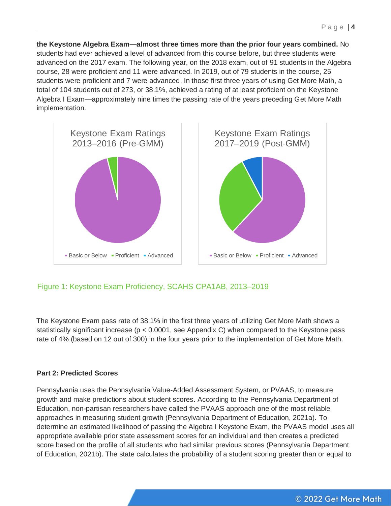**the Keystone Algebra Exam—almost three times more than the prior four years combined.** No students had ever achieved a level of advanced from this course before, but three students were advanced on the 2017 exam. The following year, on the 2018 exam, out of 91 students in the Algebra course, 28 were proficient and 11 were advanced. In 2019, out of 79 students in the course, 25 students were proficient and 7 were advanced. In those first three years of using Get More Math, a total of 104 students out of 273, or 38.1%, achieved a rating of at least proficient on the Keystone Algebra I Exam—approximately nine times the passing rate of the years preceding Get More Math implementation.



## Figure 1: Keystone Exam Proficiency, SCAHS CPA1AB, 2013–2019

The Keystone Exam pass rate of 38.1% in the first three years of utilizing Get More Math shows a statistically significant increase (p < 0.0001, see Appendix C) when compared to the Keystone pass rate of 4% (based on 12 out of 300) in the four years prior to the implementation of Get More Math.

## **Part 2: Predicted Scores**

Pennsylvania uses the Pennsylvania Value-Added Assessment System, or PVAAS, to measure growth and make predictions about student scores. According to the Pennsylvania Department of Education, non-partisan researchers have called the PVAAS approach one of the most reliable approaches in measuring student growth (Pennsylvania Department of Education, 2021a). To determine an estimated likelihood of passing the Algebra I Keystone Exam, the PVAAS model uses all appropriate available prior state assessment scores for an individual and then creates a predicted score based on the profile of all students who had similar previous scores (Pennsylvania Department of Education, 2021b). The state calculates the probability of a student scoring greater than or equal to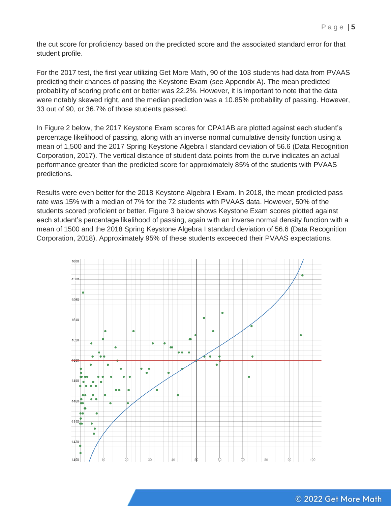the cut score for proficiency based on the predicted score and the associated standard error for that student profile.

For the 2017 test, the first year utilizing Get More Math, 90 of the 103 students had data from PVAAS predicting their chances of passing the Keystone Exam (see Appendix A). The mean predicted probability of scoring proficient or better was 22.2%. However, it is important to note that the data were notably skewed right, and the median prediction was a 10.85% probability of passing. However, 33 out of 90, or 36.7% of those students passed.

In Figure 2 below, the 2017 Keystone Exam scores for CPA1AB are plotted against each student's percentage likelihood of passing, along with an inverse normal cumulative density function using a mean of 1,500 and the 2017 Spring Keystone Algebra I standard deviation of 56.6 (Data Recognition Corporation, 2017). The vertical distance of student data points from the curve indicates an actual performance greater than the predicted score for approximately 85% of the students with PVAAS predictions.

Results were even better for the 2018 Keystone Algebra I Exam. In 2018, the mean predicted pass rate was 15% with a median of 7% for the 72 students with PVAAS data. However, 50% of the students scored proficient or better. Figure 3 below shows Keystone Exam scores plotted against each student's percentage likelihood of passing, again with an inverse normal density function with a mean of 1500 and the 2018 Spring Keystone Algebra I standard deviation of 56.6 (Data Recognition Corporation, 2018). Approximately 95% of these students exceeded their PVAAS expectations.

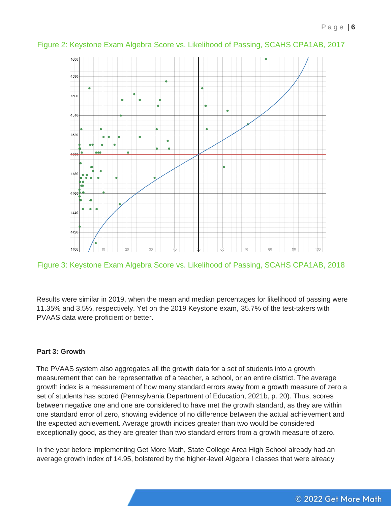

Figure 2: Keystone Exam Algebra Score vs. Likelihood of Passing, SCAHS CPA1AB, 2017

Figure 3: Keystone Exam Algebra Score vs. Likelihood of Passing, SCAHS CPA1AB, 2018

Results were similar in 2019, when the mean and median percentages for likelihood of passing were 11.35% and 3.5%, respectively. Yet on the 2019 Keystone exam, 35.7% of the test-takers with PVAAS data were proficient or better.

## **Part 3: Growth**

The PVAAS system also aggregates all the growth data for a set of students into a growth measurement that can be representative of a teacher, a school, or an entire district. The average growth index is a measurement of how many standard errors away from a growth measure of zero a set of students has scored (Pennsylvania Department of Education, 2021b, p. 20). Thus, scores between negative one and one are considered to have met the growth standard, as they are within one standard error of zero, showing evidence of no difference between the actual achievement and the expected achievement. Average growth indices greater than two would be considered exceptionally good, as they are greater than two standard errors from a growth measure of zero.

In the year before implementing Get More Math, State College Area High School already had an average growth index of 14.95, bolstered by the higher-level Algebra I classes that were already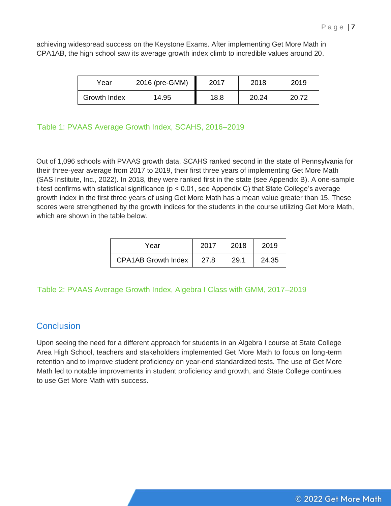achieving widespread success on the Keystone Exams. After implementing Get More Math in CPA1AB, the high school saw its average growth index climb to incredible values around 20.

| Year         | 2016 (pre-GMM) | 2017 | 2018  | 2019  |
|--------------|----------------|------|-------|-------|
| Growth Index | 14.95          | 18.8 | 20.24 | 20.72 |

#### Table 1: PVAAS Average Growth Index, SCAHS, 2016–2019

Out of 1,096 schools with PVAAS growth data, SCAHS ranked second in the state of Pennsylvania for their three-year average from 2017 to 2019, their first three years of implementing Get More Math (SAS Institute, Inc., 2022). In 2018, they were ranked first in the state (see Appendix B). A one-sample t-test confirms with statistical significance (p < 0.01, see Appendix C) that State College's average growth index in the first three years of using Get More Math has a mean value greater than 15. These scores were strengthened by the growth indices for the students in the course utilizing Get More Math, which are shown in the table below.

| Year                       | 2017 | 2018 | 2019  |
|----------------------------|------|------|-------|
| <b>CPA1AB Growth Index</b> | 27.8 | 29.1 | 24.35 |

## Table 2: PVAAS Average Growth Index, Algebra I Class with GMM, 2017–2019

## **Conclusion**

Upon seeing the need for a different approach for students in an Algebra I course at State College Area High School, teachers and stakeholders implemented Get More Math to focus on long-term retention and to improve student proficiency on year-end standardized tests. The use of Get More Math led to notable improvements in student proficiency and growth, and State College continues to use Get More Math with success.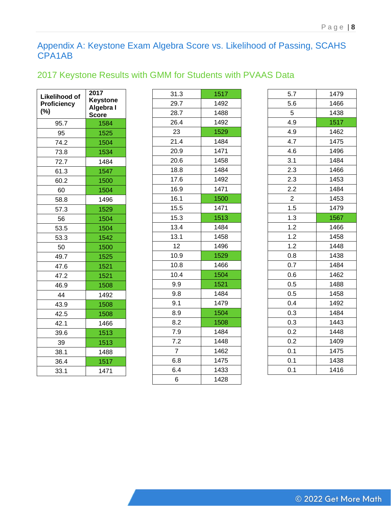## Appendix A: Keystone Exam Algebra Score vs. Likelihood of Passing, SCAHS CPA1AB

## 2017 Keystone Results with GMM for Students with PVAAS Data

| <b>Likelihood of</b><br>Proficiency<br>$(\%)$ | 2017<br>Keystone<br>Algebra I<br><b>Score</b> |
|-----------------------------------------------|-----------------------------------------------|
| 95.7                                          | 1584                                          |
| 95                                            | 1525                                          |
| 74.2                                          | 1504                                          |
| 73.8                                          | 1534                                          |
| 72.7                                          | 1484                                          |
| 61.3                                          | 1547                                          |
| 60.2                                          | 1500                                          |
| 60                                            | 1504                                          |
| 58.8                                          | 1496                                          |
| 57.3                                          | 1529                                          |
| 56                                            | 1504                                          |
| 53.5                                          | 1504                                          |
| 53.3                                          | 1542                                          |
| 50                                            | 1500                                          |
| 49.7                                          | 1525                                          |
| 47.6                                          | 1521                                          |
| 47.2                                          | 1521                                          |
| 46.9                                          | 1508                                          |
| 44                                            | 1492                                          |
| 43.9                                          | 1508                                          |
| 42.5                                          | 1508                                          |
| 42.1                                          | 1466                                          |
| 39.6                                          | 1513                                          |
| 39                                            | 1513                                          |
| 38.1                                          | 1488                                          |
| 36.4                                          | 1517                                          |
| 33.1                                          | 1471                                          |

| 31.3 | 1517 |
|------|------|
| 29.7 | 1492 |
| 28.7 | 1488 |
| 26.4 | 1492 |
| 23   | 1529 |
| 21.4 | 1484 |
| 20.9 | 1471 |
| 20.6 | 1458 |
| 18.8 | 1484 |
| 17.6 | 1492 |
| 16.9 | 1471 |
| 16.1 | 1500 |
| 15.5 | 1471 |
| 15.3 | 1513 |
| 13.4 | 1484 |
| 13.1 | 1458 |
| 12   | 1496 |
| 10.9 | 1529 |
| 10.8 | 1466 |
| 10.4 | 1504 |
| 9.9  | 1521 |
| 9.8  | 1484 |
| 9.1  | 1479 |
| 8.9  | 1504 |
| 8.2  | 1508 |
| 7.9  | 1484 |
| 7.2  | 1448 |
| 7    | 1462 |
| 6.8  | 1475 |
| 6.4  | 1433 |
| 6    | 1428 |

| 5.7           | 1479 |
|---------------|------|
| 5.6           | 1466 |
| 5             | 1438 |
| 4.9           | 1517 |
| 4.9           | 1462 |
| 4.7           | 1475 |
| 4.6           | 1496 |
| 3.1           | 1484 |
| 2.3           | 1466 |
| 2.3           | 1453 |
| 2.2           | 1484 |
| $\frac{2}{1}$ | 1453 |
| 1.5           | 1479 |
| 1.3           | 1567 |
| 1.2           | 1466 |
| 1.2           | 1458 |
| 1.2           | 1448 |
| 0.8           | 1438 |
| 0.7           | 1484 |
| 0.6           | 1462 |
| 0.5           | 1488 |
| 0.5           | 1458 |
| 0.4           | 1492 |
| 0.3           | 1484 |
| 0.3           | 1443 |
| 0.2           | 1448 |
| 0.2           | 1409 |
| 0.1           | 1475 |
| 0.1           | 1438 |
| 0.1           | 1416 |
|               |      |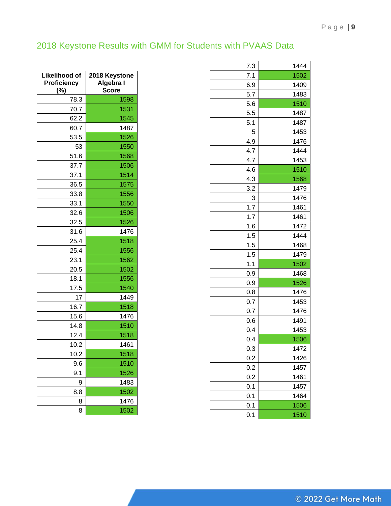## 2018 Keystone Results with GMM for Students with PVAAS Data

| <b>Likelihood of</b><br>Proficiency<br>(%) | 2018 Keystone<br>Algebra I<br><b>Score</b> |
|--------------------------------------------|--------------------------------------------|
| 78.3                                       | 1598                                       |
| 70.7                                       | 1531                                       |
| 62.2                                       | 1545                                       |
| 60.7                                       | 1487                                       |
| 53.5                                       | 1526                                       |
| 53                                         | 1550                                       |
| 51.6                                       | 1568                                       |
| 37.7                                       | 1506                                       |
| 37.1                                       | 1514                                       |
| 36.5                                       | 1575                                       |
| 33.8                                       | 1556                                       |
| 33.1                                       | 1550                                       |
| 32.6                                       | 1506                                       |
| 32.5                                       | 1526                                       |
| 31.6                                       | 1476                                       |
| 25.4                                       | 1518                                       |
| 25.4                                       | 1556                                       |
| 23.1                                       | 1562                                       |
| 20.5                                       | 1502                                       |
| 18.1                                       | 1556                                       |
| 17.5                                       | 1540                                       |
| 17                                         | 1449                                       |
| 16.7                                       | 1518                                       |
| 15.6                                       | 1476                                       |
| 14.8                                       | 1510                                       |
| 12.4                                       | 1518                                       |
| 10.2                                       | 1461                                       |
| 10.2                                       | 1518                                       |
| 9.6                                        | 1510                                       |
| 9.1                                        | 1526                                       |
| 9                                          | 1483                                       |
| 8.8                                        | 1502                                       |
| 8                                          | 1476                                       |
| 8                                          | 1502                                       |

| 7.3 | 1444 |
|-----|------|
| 7.1 | 1502 |
| 6.9 | 1409 |
| 5.7 | 1483 |
| 5.6 | 1510 |
| 5.5 | 1487 |
| 5.1 | 1487 |
| 5   | 1453 |
| 4.9 | 1476 |
| 4.7 | 1444 |
| 4.7 | 1453 |
| 4.6 | 1510 |
| 4.3 | 1568 |
| 3.2 | 1479 |
| 3   | 1476 |
| 1.7 | 1461 |
| 1.7 | 1461 |
| 1.6 | 1472 |
| 1.5 | 1444 |
| 1.5 | 1468 |
| 1.5 | 1479 |
| 1.1 | 1502 |
| 0.9 | 1468 |
| 0.9 | 1526 |
| 0.8 | 1476 |
| 0.7 | 1453 |
| 0.7 | 1476 |
| 0.6 | 1491 |
| 0.4 | 1453 |
| 0.4 | 1506 |
| 0.3 | 1472 |
| 0.2 | 1426 |
| 0.2 | 1457 |
| 0.2 | 1461 |
| 0.1 | 1457 |
| 0.1 | 1464 |
| 0.1 | 1506 |
| 0.1 | 1510 |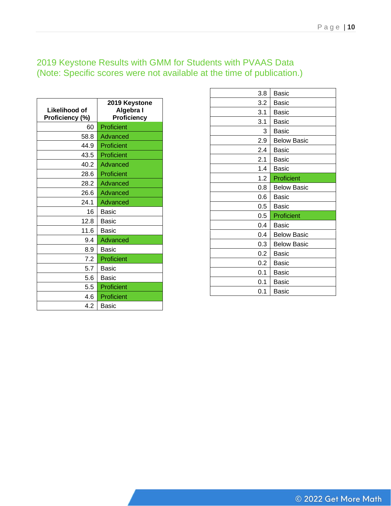## 2019 Keystone Results with GMM for Students with PVAAS Data (Note: Specific scores were not available at the time of publication.)

| Likelihood of<br>Proficiency (%) | 2019 Keystone<br>Algebra I<br>Proficiency |
|----------------------------------|-------------------------------------------|
| 60                               | Proficient                                |
| 58.8                             | Advanced                                  |
| 44.9                             | Proficient                                |
| 43.5                             | Proficient                                |
| 40.2                             | Advanced                                  |
| 28.6                             | Proficient                                |
| 28.2                             | Advanced                                  |
| 26.6                             | Advanced                                  |
| 24.1                             | Advanced                                  |
| 16                               | Basic                                     |
| 12.8                             | <b>Basic</b>                              |
| 11.6                             | Basic                                     |
| 9.4                              | Advanced                                  |
| 8.9                              | Basic                                     |
| 7.2                              | Proficient                                |
| 5.7                              | <b>Basic</b>                              |
| 5.6                              | Basic                                     |
| 5.5                              | Proficient                                |
| 4.6                              | Proficient                                |
| 4.2                              | Basic                                     |

| 3.8 | Basic              |
|-----|--------------------|
| 3.2 | Basic              |
| 3.1 | Basic              |
| 3.1 | Basic              |
| 3   | Basic              |
| 2.9 | <b>Below Basic</b> |
| 2.4 | Basic              |
| 2.1 | Basic              |
| 1.4 | <b>Basic</b>       |
| 1.2 | Proficient         |
| 0.8 | <b>Below Basic</b> |
| 0.6 | Basic              |
| 0.5 | Basic              |
| 0.5 | Proficient         |
| 0.4 | Basic              |
| 0.4 | <b>Below Basic</b> |
| 0.3 | <b>Below Basic</b> |
| 0.2 | Basic              |
| 0.2 | Basic              |
| 0.1 | Basic              |
| 0.1 | Basic              |
| 0.1 | Basic              |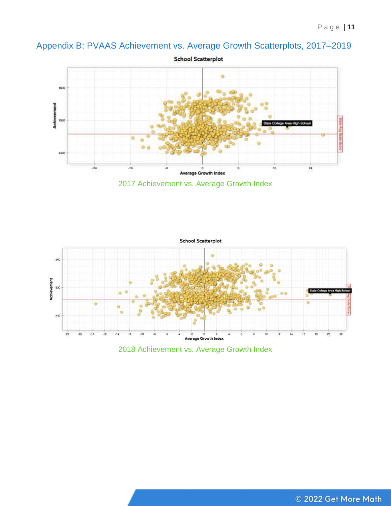## Appendix B: PVAAS Achievement vs. Average Growth Scatterplots, 2017–2019



2017 Achievement vs. Average Growth Index



2018 Achievement vs. Average Growth Index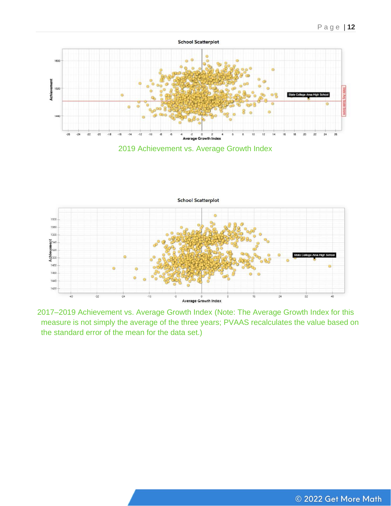



2017–2019 Achievement vs. Average Growth Index (Note: The Average Growth Index for this measure is not simply the average of the three years; PVAAS recalculates the value based on the standard error of the mean for the data set.)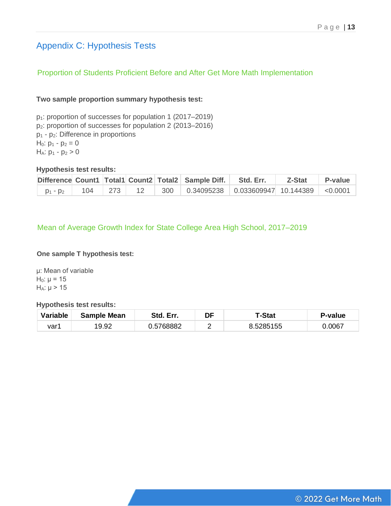## Appendix C: Hypothesis Tests

## Proportion of Students Proficient Before and After Get More Math Implementation

#### **Two sample proportion summary hypothesis test:**

p1: proportion of successes for population 1 (2017–2019) p2: proportion of successes for population 2 (2013–2016) p<sup>1</sup> - p2: Difference in proportions  $H_0: p_1 - p_2 = 0$  $H_A: p_1 - p_2 > 0$ 

#### **Hypothesis test results:**

|  |  | Difference Count1   Total1   Count2   Total2   Sample Diff.   Std. Err.   Z-Stat   P-value |  |  |
|--|--|--------------------------------------------------------------------------------------------|--|--|
|  |  | $p_1 - p_2$   104   273   12   300   0.34095238   0.033609947 10.144389   <0.0001          |  |  |

## Mean of Average Growth Index for State College Area High School, 2017–2019

#### **One sample T hypothesis test:**

μ: Mean of variable  $H<sub>0</sub>: μ = 15$  $H_A: μ > 15$ 

#### **Hypothesis test results:**

| Variable | <b>Sample Mean</b> | Std. Err. | DF | <sup>-</sup> -Stat | P-value |
|----------|--------------------|-----------|----|--------------------|---------|
| var1     | 19.92              | 0.5768882 |    | 8.5285155          | 0.0067  |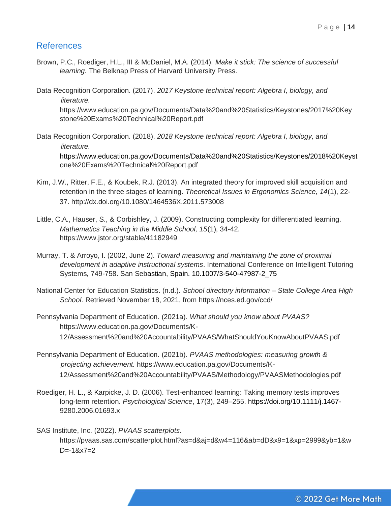## References

- Brown, P.C., Roediger, H.L., III & McDaniel, M.A. (2014). *Make it stick: The science of successful learning.* The Belknap Press of Harvard University Press.
- Data Recognition Corporation. (2017). *2017 Keystone technical report: Algebra I, biology, and literature.*

[https://www.education.pa.gov/Documents/Data%20and%20Statistics/Keystones/2017%20Key](https://www.education.pa.gov/Documents/Data%20and%20Statistics/Keystones/2017%20Key%09stone%20Exams%20Technical%20Report.pdf)  [stone%20Exams%20Technical%20Report.pdf](https://www.education.pa.gov/Documents/Data%20and%20Statistics/Keystones/2017%20Key%09stone%20Exams%20Technical%20Report.pdf)

Data Recognition Corporation. (2018). *2018 Keystone technical report: Algebra I, biology, and literature.*

<https://www.education.pa.gov/Documents/Data%20and%20Statistics/Keystones/2018%20Keyst> one%20Exams%20Technical%20Report.pdf

- Kim, J.W., Ritter, F.E., & Koubek, R.J. (2013). An integrated theory for improved skill acquisition and retention in the three stages of learning. *Theoretical Issues in Ergonomics Science, 14*(1), 22- 37.<http://dx.doi.org/10.1080/1464536X.2011.573008>
- Little, C.A., Hauser, S., & Corbishley, J. (2009). Constructing complexity for differentiated learning. *Mathematics Teaching in the Middle School, 15*(1), 34-42. <https://www.jstor.org/stable/41182949>
- Murray, T. & Arroyo, I. (2002, June 2). *Toward measuring and maintaining the zone of proximal development in adaptive instructional systems*. International Conference on Intelligent Tutoring Systems*,* 749-758. San Sebastian, Spain. 10.1007/3-540-47987-2\_75
- National Center for Education Statistics. (n.d.). *School directory information State College Area High School*. Retrieved November 18, 2021, from <https://nces.ed.gov/ccd/>
- Pennsylvania Department of Education. (2021a). *What should you know about PVAAS?* [https://www.education.pa.gov/Documents/K-](https://www.education.pa.gov/Documents/K-%0912/Assessment%20and%20Accountability/PVAAS/WhatShouldYouKnowAboutPVAAS.pdf)[12/Assessment%20and%20Accountability/PVAAS/WhatShouldYouKnowAboutPVAAS.pdf](https://www.education.pa.gov/Documents/K-%0912/Assessment%20and%20Accountability/PVAAS/WhatShouldYouKnowAboutPVAAS.pdf)
- Pennsylvania Department of Education. (2021b). *PVAAS methodologies: measuring growth & projecting achievement[.](https://www.education.pa.gov/Documents/K-%0912/Assessment%20and%20Accountability/PVAAS/Methodology/PVAASMethodologies.pdf)* [https://www.education.pa.gov/Documents/K-](https://www.education.pa.gov/Documents/K-%0912/Assessment%20and%20Accountability/PVAAS/Methodology/PVAASMethodologies.pdf)[12/Assessment%20and%20Accountability/PVAAS/Methodology/PVAASMethodologies.pdf](https://www.education.pa.gov/Documents/K-%0912/Assessment%20and%20Accountability/PVAAS/Methodology/PVAASMethodologies.pdf)
- Roediger, H. L., & Karpicke, J. D. (2006). Test-enhanced learning: Taking memory tests improves long-term retention. *Psychological Science*, 17(3), 249–255.<https://doi.org/10.1111/j.1467-> 9280.2006.01693.x

SAS Institute, Inc. (2022). *PVAAS scatterplots.* [https://pvaas.sas.com/scatterplot.html?as=d&aj=d&w4=116&ab=dD&x9=1&xp=2999&yb=1&w](https://pvaas.sas.com/scatterplot.html?as=d&aj=d&w4=116&ab=dD&x9=1&xp=2999&yb=1&w%09D=-1&x7=2)  $D = -18x7=2$